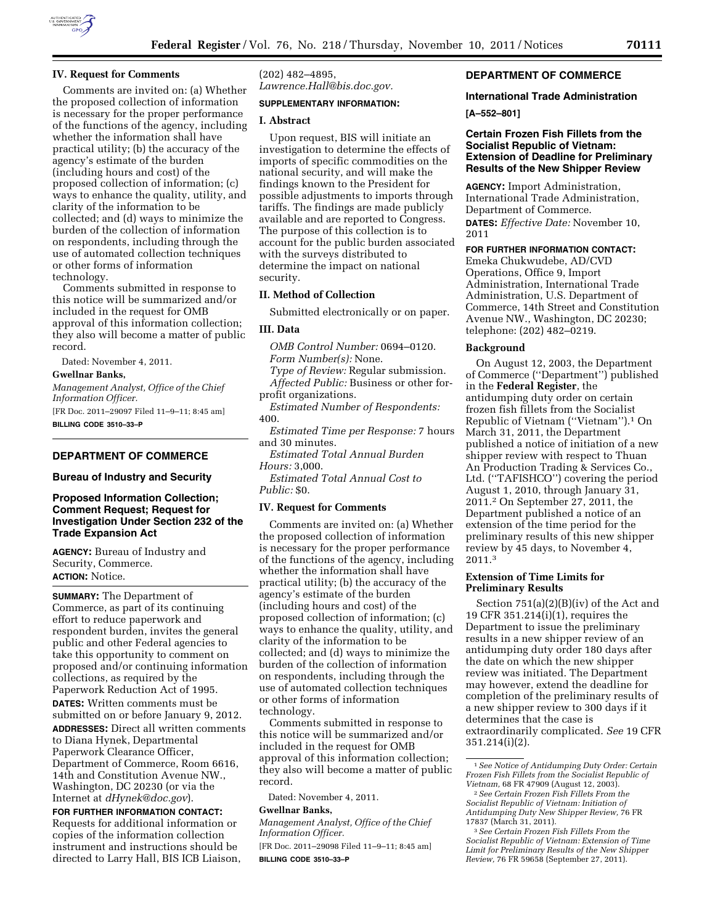

#### **IV. Request for Comments**

Comments are invited on: (a) Whether the proposed collection of information is necessary for the proper performance of the functions of the agency, including whether the information shall have practical utility; (b) the accuracy of the agency's estimate of the burden (including hours and cost) of the proposed collection of information; (c) ways to enhance the quality, utility, and clarity of the information to be collected; and (d) ways to minimize the burden of the collection of information on respondents, including through the use of automated collection techniques or other forms of information technology.

Comments submitted in response to this notice will be summarized and/or included in the request for OMB approval of this information collection; they also will become a matter of public record.

Dated: November 4, 2011.

#### **Gwellnar Banks,**

*Management Analyst, Office of the Chief Information Officer.* 

[FR Doc. 2011–29097 Filed 11–9–11; 8:45 am] **BILLING CODE 3510–33–P** 

### **DEPARTMENT OF COMMERCE**

#### **Bureau of Industry and Security**

# **Proposed Information Collection; Comment Request; Request for Investigation Under Section 232 of the Trade Expansion Act**

**AGENCY:** Bureau of Industry and Security, Commerce. **ACTION:** Notice.

**SUMMARY:** The Department of Commerce, as part of its continuing effort to reduce paperwork and respondent burden, invites the general public and other Federal agencies to take this opportunity to comment on proposed and/or continuing information collections, as required by the Paperwork Reduction Act of 1995.

**DATES:** Written comments must be submitted on or before January 9, 2012.

**ADDRESSES:** Direct all written comments to Diana Hynek, Departmental Paperwork Clearance Officer, Department of Commerce, Room 6616, 14th and Constitution Avenue NW., Washington, DC 20230 (or via the Internet at *[dHynek@doc.gov](mailto:dHynek@doc.gov)*).

**FOR FURTHER INFORMATION CONTACT:**  Requests for additional information or copies of the information collection instrument and instructions should be directed to Larry Hall, BIS ICB Liaison,

# (202) 482–4895, *[Lawrence.Hall@bis.doc.gov.](mailto:Lawrence.Hall@bis.doc.gov)*

### **SUPPLEMENTARY INFORMATION:**

### **I. Abstract**

Upon request, BIS will initiate an investigation to determine the effects of imports of specific commodities on the national security, and will make the findings known to the President for possible adjustments to imports through tariffs. The findings are made publicly available and are reported to Congress. The purpose of this collection is to account for the public burden associated with the surveys distributed to determine the impact on national security.

#### **II. Method of Collection**

Submitted electronically or on paper.

### **III. Data**

*OMB Control Number:* 0694–0120. *Form Number(s):* None.

*Type of Review:* Regular submission.

*Affected Public:* Business or other forprofit organizations.

*Estimated Number of Respondents:*  400.

*Estimated Time per Response:* 7 hours and 30 minutes.

*Estimated Total Annual Burden Hours:* 3,000.

*Estimated Total Annual Cost to Public:* \$0.

### **IV. Request for Comments**

Comments are invited on: (a) Whether the proposed collection of information is necessary for the proper performance of the functions of the agency, including whether the information shall have practical utility; (b) the accuracy of the agency's estimate of the burden (including hours and cost) of the proposed collection of information; (c) ways to enhance the quality, utility, and clarity of the information to be collected; and (d) ways to minimize the burden of the collection of information on respondents, including through the use of automated collection techniques or other forms of information technology.

Comments submitted in response to this notice will be summarized and/or included in the request for OMB approval of this information collection; they also will become a matter of public record.

Dated: November 4, 2011.

# **Gwellnar Banks,**

*Management Analyst, Office of the Chief Information Officer.* 

[FR Doc. 2011–29098 Filed 11–9–11; 8:45 am] **BILLING CODE 3510–33–P** 

# **DEPARTMENT OF COMMERCE**

# **International Trade Administration**

# **[A–552–801]**

# **Certain Frozen Fish Fillets from the Socialist Republic of Vietnam: Extension of Deadline for Preliminary Results of the New Shipper Review**

**AGENCY:** Import Administration, International Trade Administration, Department of Commerce. **DATES:** *Effective Date:* November 10, 2011

### **FOR FURTHER INFORMATION CONTACT:**

Emeka Chukwudebe, AD/CVD Operations, Office 9, Import Administration, International Trade Administration, U.S. Department of Commerce, 14th Street and Constitution Avenue NW., Washington, DC 20230; telephone: (202) 482–0219.

### **Background**

On August 12, 2003, the Department of Commerce (''Department'') published in the **Federal Register**, the antidumping duty order on certain frozen fish fillets from the Socialist Republic of Vietnam (''Vietnam'').1 On March 31, 2011, the Department published a notice of initiation of a new shipper review with respect to Thuan An Production Trading & Services Co., Ltd. (''TAFISHCO'') covering the period August 1, 2010, through January 31, 2011.2 On September 27, 2011, the Department published a notice of an extension of the time period for the preliminary results of this new shipper review by 45 days, to November 4, 2011.3

### **Extension of Time Limits for Preliminary Results**

Section 751(a)(2)(B)(iv) of the Act and 19 CFR 351.214(i)(1), requires the Department to issue the preliminary results in a new shipper review of an antidumping duty order 180 days after the date on which the new shipper review was initiated. The Department may however, extend the deadline for completion of the preliminary results of a new shipper review to 300 days if it determines that the case is extraordinarily complicated. *See* 19 CFR 351.214(i)(2).

<sup>1</sup>*See Notice of Antidumping Duty Order: Certain Frozen Fish Fillets from the Socialist Republic of* 

<sup>&</sup>lt;sup>2</sup> See Certain Frozen Fish Fillets From the *Socialist Republic of Vietnam: Initiation of Antidumping Duty New Shipper Review,* 76 FR

<sup>17837 (</sup>March 31, 2011). 3*See Certain Frozen Fish Fillets From the Socialist Republic of Vietnam: Extension of Time Limit for Preliminary Results of the New Shipper Review,* 76 FR 59658 (September 27, 2011).